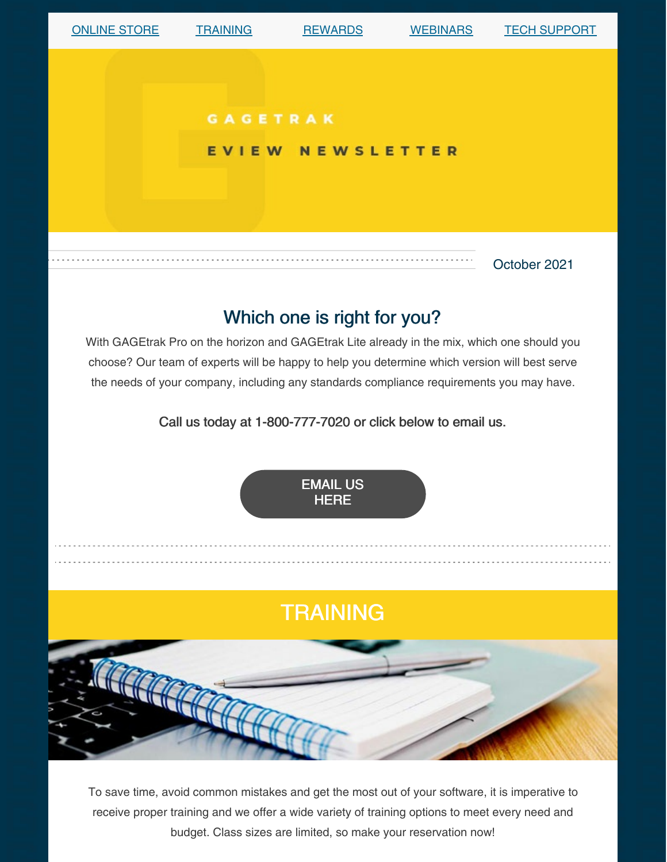

To save time, avoid common mistakes and get the most out of your software, it is imperative to receive proper training and we offer a wide variety of training options to meet every need and budget. Class sizes are limited, so make your reservation now!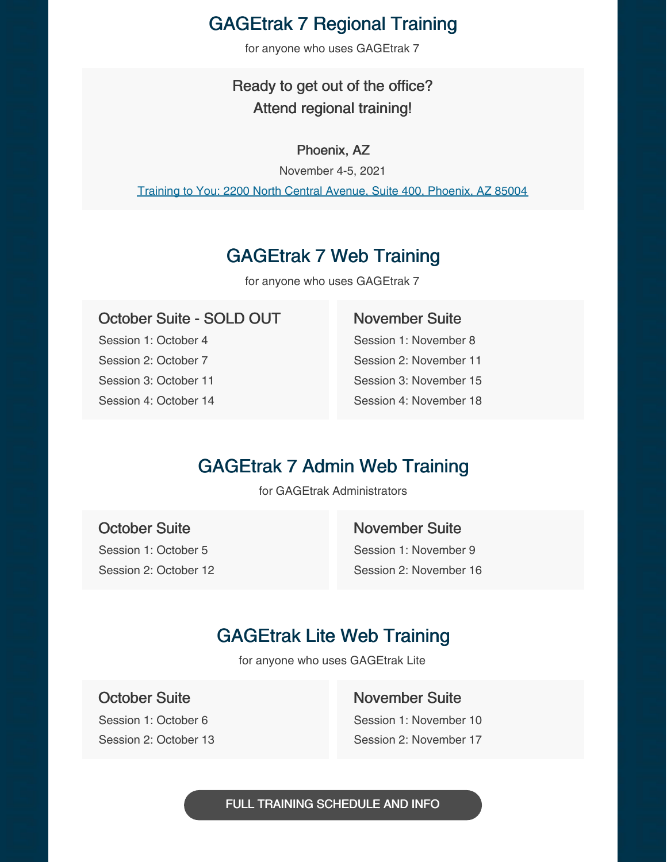## GAGEtrak 7 Regional Training

for anyone who uses GAGEtrak 7

## Ready to get out of the office? Attend regional training!

#### Phoenix, AZ

November 4-5, 2021

Training to You: 2200 North Central Avenue, Suite 400, [Phoenix,](https://g.page/training-to-you?share) AZ 85004

## GAGEtrak 7 Web Training

for anyone who uses GAGEtrak 7

### October Suite - SOLD OUT

Session 1: October 4 Session 2: October 7 Session 3: October 11 Session 4: October 14

#### November Suite

Session 1: November 8 Session 2: November 11 Session 3: November 15 Session 4: November 18

## GAGEtrak 7 Admin Web Training

for GAGEtrak Administrators

October Suite Session 1: October 5 Session 2: October 12 November Suite Session 1: November 9 Session 2: November 16

## GAGEtrak Lite Web Training

for anyone who uses GAGEtrak Lite

October Suite

Session 1: October 6 Session 2: October 13 November Suite Session 1: November 10 Session 2: November 17

FULL TRAINING [SCHEDULE](https://gagetrak.com/training-schedule/) AND INFO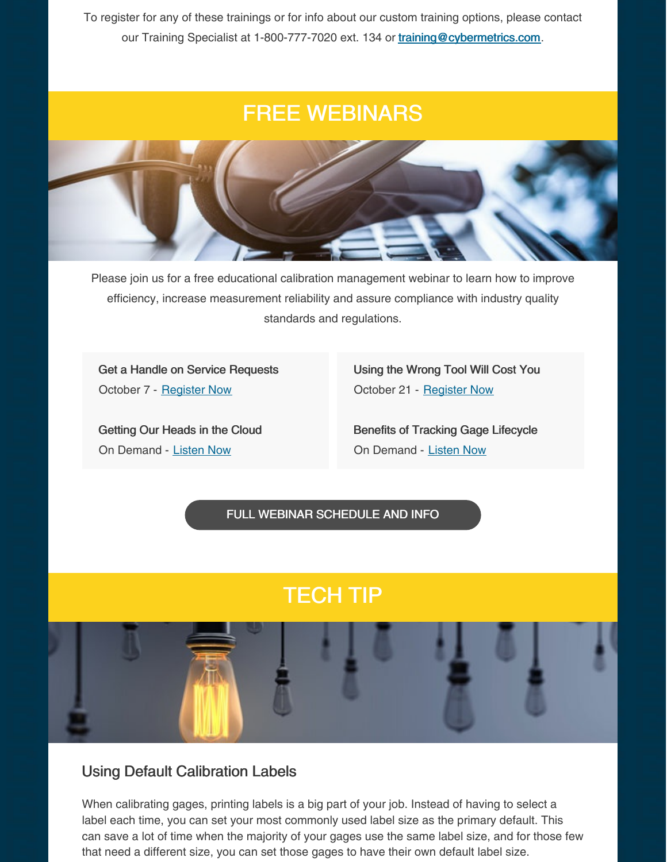To register for any of these trainings or for info about our custom training options, please contact our Training Specialist at 1-800-777-7020 ext. 134 or [training@cybermetrics.com](mailto:training@cybermetrics.com).

# FREE WEBINARS



Please join us for a free educational calibration management webinar to learn how to improve efficiency, increase measurement reliability and assure compliance with industry quality standards and regulations.

Get a Handle on Service Requests October 7 - [Register](https://attendee.gotowebinar.com/register/9169069773863307531) Now

Getting Our Heads in the Cloud On Demand - [Listen](https://www.qualitymag.com/media/podcasts/2594-q-cast/play/170-globalization-forces-calibration-software-providers-to-get-their-heads-in-the-cloud) Now

Using the Wrong Tool Will Cost You October 21 - [Register](https://attendee.gotowebinar.com/register/656130682621605643) Now

Benefits of Tracking Gage Lifecycle On Demand - [Listen](https://www.qualitymag.com/media/podcasts/2594-q-cast/play/197-the-benefits-of-tracking-gage-lifecycle) Now

FULL WEBINAR [SCHEDULE](https://gagetrak.com/webinars/) AND INFO

# TECH TIP



#### Using Default Calibration Labels

When calibrating gages, printing labels is a big part of your job. Instead of having to select a label each time, you can set your most commonly used label size as the primary default. This can save a lot of time when the majority of your gages use the same label size, and for those few that need a different size, you can set those gages to have their own default label size.